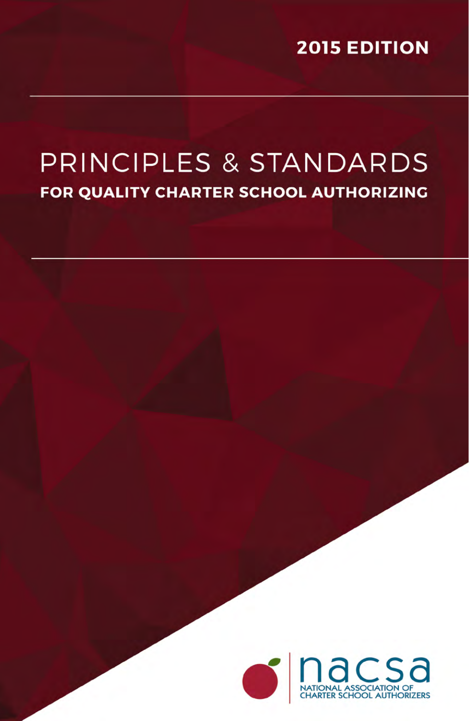**2015 EDITION** 

## PRINCIPLES & STANDARDS FOR QUALITY CHARTER SCHOOL AUTHORIZING

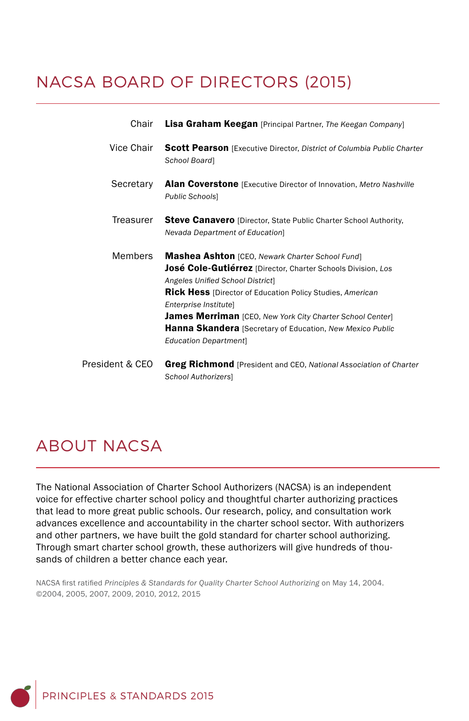## NACSA BOARD OF DIRECTORS (2015)

| Chair           | <b>Lisa Graham Keegan</b> [Principal Partner, The Keegan Company]                                                                                                                                                                                                                                                                                                                                                         |
|-----------------|---------------------------------------------------------------------------------------------------------------------------------------------------------------------------------------------------------------------------------------------------------------------------------------------------------------------------------------------------------------------------------------------------------------------------|
| Vice Chair      | <b>Scott Pearson</b> [Executive Director, District of Columbia Public Charter<br>School Board]                                                                                                                                                                                                                                                                                                                            |
| Secretary       | Alan Coverstone [Executive Director of Innovation, Metro Nashville<br>Public Schools]                                                                                                                                                                                                                                                                                                                                     |
| Treasurer       | <b>Steve Canavero</b> [Director, State Public Charter School Authority,<br>Nevada Department of Education]                                                                                                                                                                                                                                                                                                                |
| <b>Members</b>  | Mashea Ashton [CEO, Newark Charter School Fund]<br>José Cole-Gutiérrez [Director, Charter Schools Division, Los<br>Angeles Unified School District]<br><b>Rick Hess</b> [Director of Education Policy Studies, American<br>Enterprise Institutel<br><b>James Merriman</b> [CEO, New York City Charter School Center]<br><b>Hanna Skandera</b> [Secretary of Education, New Mexico Public<br><b>Education Department</b> ] |
| President & CEO | <b>Greg Richmond</b> [President and CEO, National Association of Charter                                                                                                                                                                                                                                                                                                                                                  |

#### *School Authorizers*]

## ABOUT NACSA

The National Association of Charter School Authorizers (NACSA) is an independent voice for effective charter school policy and thoughtful charter authorizing practices that lead to more great public schools. Our research, policy, and consultation work advances excellence and accountability in the charter school sector. With authorizers and other partners, we have built the gold standard for charter school authorizing. Through smart charter school growth, these authorizers will give hundreds of thousands of children a better chance each year.

NACSA first ratified *Principles & Standards for Quality Charter School Authorizing* on May 14, 2004. ©2004, 2005, 2007, 2009, 2010, 2012, 2015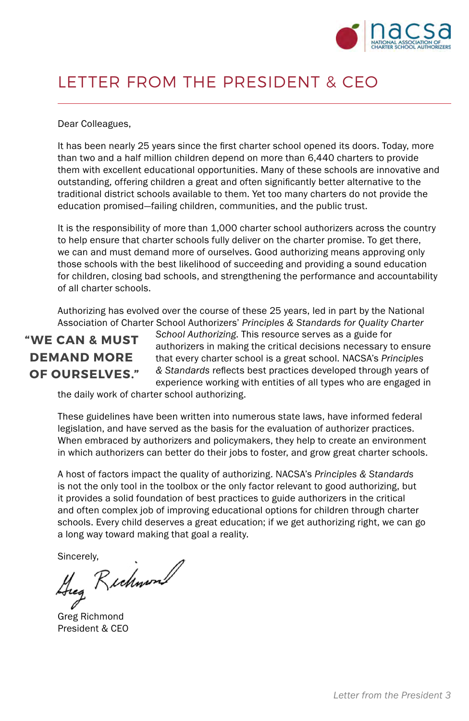

### LETTER FROM THE PRESIDENT & CEO

Dear Colleagues,

It has been nearly 25 years since the first charter school opened its doors. Today, more than two and a half million children depend on more than 6,440 charters to provide them with excellent educational opportunities. Many of these schools are innovative and outstanding, offering children a great and often significantly better alternative to the traditional district schools available to them. Yet too many charters do not provide the education promised—failing children, communities, and the public trust.

It is the responsibility of more than 1,000 charter school authorizers across the country to help ensure that charter schools fully deliver on the charter promise. To get there, we can and must demand more of ourselves. Good authorizing means approving only those schools with the best likelihood of succeeding and providing a sound education for children, closing bad schools, and strengthening the performance and accountability of all charter schools.

Authorizing has evolved over the course of these 25 years, led in part by the National Association of Charter School Authorizers' *Principles & Standards for Quality Charter* 

### **"WE CAN & MUST DEMAND MORE OF OURSELVES."**

*School Authorizing*. This resource serves as a guide for authorizers in making the critical decisions necessary to ensure that every charter school is a great school. NACSA's *Principles & Standards* reflects best practices developed through years of experience working with entities of all types who are engaged in

the daily work of charter school authorizing.

These guidelines have been written into numerous state laws, have informed federal legislation, and have served as the basis for the evaluation of authorizer practices. When embraced by authorizers and policymakers, they help to create an environment in which authorizers can better do their jobs to foster, and grow great charter schools.

A host of factors impact the quality of authorizing. NACSA's *Principles & Standards*  is not the only tool in the toolbox or the only factor relevant to good authorizing, but it provides a solid foundation of best practices to guide authorizers in the critical and often complex job of improving educational options for children through charter schools. Every child deserves a great education; if we get authorizing right, we can go a long way toward making that goal a reality.

Sincerely,<br>Heg Richwon

Greg Richmond President & CEO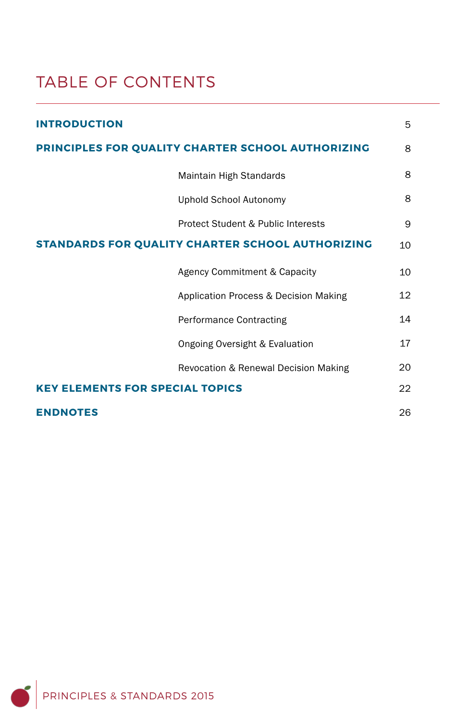## TABLE OF CONTENTS

| <b>INTRODUCTION</b>                               | 5  |
|---------------------------------------------------|----|
| PRINCIPLES FOR QUALITY CHARTER SCHOOL AUTHORIZING |    |
| Maintain High Standards                           | 8  |
| Uphold School Autonomy                            | 8  |
| Protect Student & Public Interests                | 9  |
| STANDARDS FOR QUALITY CHARTER SCHOOL AUTHORIZING  |    |
| Agency Commitment & Capacity                      | 10 |
| Application Process & Decision Making             | 12 |
| <b>Performance Contracting</b>                    | 14 |
| Ongoing Oversight & Evaluation                    | 17 |
| Revocation & Renewal Decision Making              | 20 |
| <b>KEY ELEMENTS FOR SPECIAL TOPICS</b>            |    |
| <b>ENDNOTES</b>                                   | 26 |

PRINCIPLES & STANDARDS 2015 Ő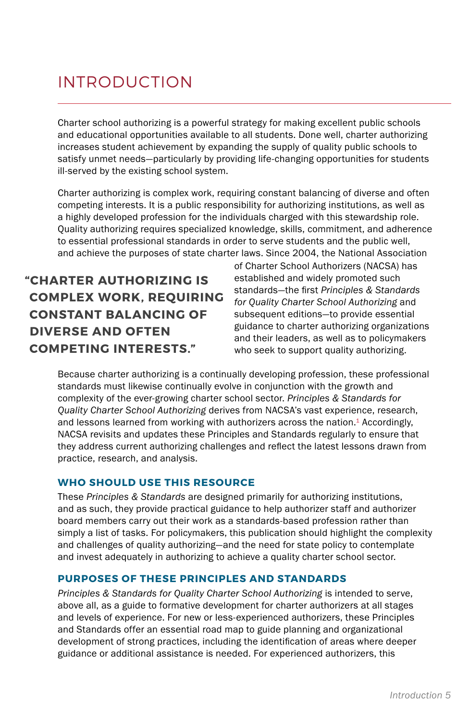## INTRODUCTION

Charter school authorizing is a powerful strategy for making excellent public schools and educational opportunities available to all students. Done well, charter authorizing increases student achievement by expanding the supply of quality public schools to satisfy unmet needs—particularly by providing life-changing opportunities for students ill-served by the existing school system.

Charter authorizing is complex work, requiring constant balancing of diverse and often competing interests. It is a public responsibility for authorizing institutions, as well as a highly developed profession for the individuals charged with this stewardship role. Quality authorizing requires specialized knowledge, skills, commitment, and adherence to essential professional standards in order to serve students and the public well, and achieve the purposes of state charter laws. Since 2004, the National Association

**"CHARTER AUTHORIZING IS COMPLEX WORK, REQUIRING CONSTANT BALANCING OF DIVERSE AND OFTEN COMPETING INTERESTS."**

of Charter School Authorizers (NACSA) has established and widely promoted such standards—the first *Principles & Standards for Quality Charter School Authorizing* and subsequent editions—to provide essential guidance to charter authorizing organizations and their leaders, as well as to policymakers who seek to support quality authorizing.

Because charter authorizing is a continually developing profession, these professional standards must likewise continually evolve in conjunction with the growth and complexity of the ever-growing charter school sector. *Principles & Standards for Quality Charter School Authorizing* derives from NACSA's vast experience, research, and lessons learned from working with authorizers across the nation.<sup>1</sup> Accordingly, NACSA revisits and updates these Principles and Standards regularly to ensure that they address current authorizing challenges and reflect the latest lessons drawn from practice, research, and analysis.

#### **WHO SHOULD USE THIS RESOURCE**

These *Principles & Standards* are designed primarily for authorizing institutions, and as such, they provide practical guidance to help authorizer staff and authorizer board members carry out their work as a standards-based profession rather than simply a list of tasks. For policymakers, this publication should highlight the complexity and challenges of quality authorizing—and the need for state policy to contemplate and invest adequately in authorizing to achieve a quality charter school sector.

#### **PURPOSES OF THESE PRINCIPLES AND STANDARDS**

*Principles & Standards for Quality Charter School Authorizing* is intended to serve, above all, as a guide to formative development for charter authorizers at all stages and levels of experience. For new or less-experienced authorizers, these Principles and Standards offer an essential road map to guide planning and organizational development of strong practices, including the identification of areas where deeper guidance or additional assistance is needed. For experienced authorizers, this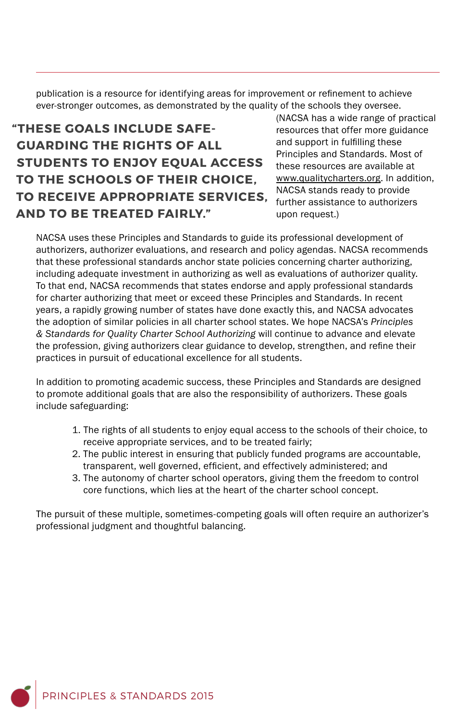publication is a resource for identifying areas for improvement or refinement to achieve ever-stronger outcomes, as demonstrated by the quality of the schools they oversee.

### **"THESE GOALS INCLUDE SAFE-GUARDING THE RIGHTS OF ALL STUDENTS TO ENJOY EQUAL ACCESS TO THE SCHOOLS OF THEIR CHOICE, TO RECEIVE APPROPRIATE SERVICES, AND TO BE TREATED FAIRLY."**

(NACSA has a wide range of practical resources that offer more guidance and support in fulfilling these Principles and Standards. Most of these resources are available at www.qualitycharters.org. In addition, NACSA stands ready to provide further assistance to authorizers upon request.)

NACSA uses these Principles and Standards to guide its professional development of authorizers, authorizer evaluations, and research and policy agendas. NACSA recommends that these professional standards anchor state policies concerning charter authorizing, including adequate investment in authorizing as well as evaluations of authorizer quality. To that end, NACSA recommends that states endorse and apply professional standards for charter authorizing that meet or exceed these Principles and Standards. In recent years, a rapidly growing number of states have done exactly this, and NACSA advocates the adoption of similar policies in all charter school states. We hope NACSA's *Principles & Standards for Quality Charter School Authorizing* will continue to advance and elevate the profession, giving authorizers clear guidance to develop, strengthen, and refine their practices in pursuit of educational excellence for all students.

In addition to promoting academic success, these Principles and Standards are designed to promote additional goals that are also the responsibility of authorizers. These goals include safeguarding:

- 1. The rights of all students to enjoy equal access to the schools of their choice, to receive appropriate services, and to be treated fairly;
- 2. The public interest in ensuring that publicly funded programs are accountable, transparent, well governed, efficient, and effectively administered; and
- 3. The autonomy of charter school operators, giving them the freedom to control core functions, which lies at the heart of the charter school concept.

The pursuit of these multiple, sometimes-competing goals will often require an authorizer's professional judgment and thoughtful balancing.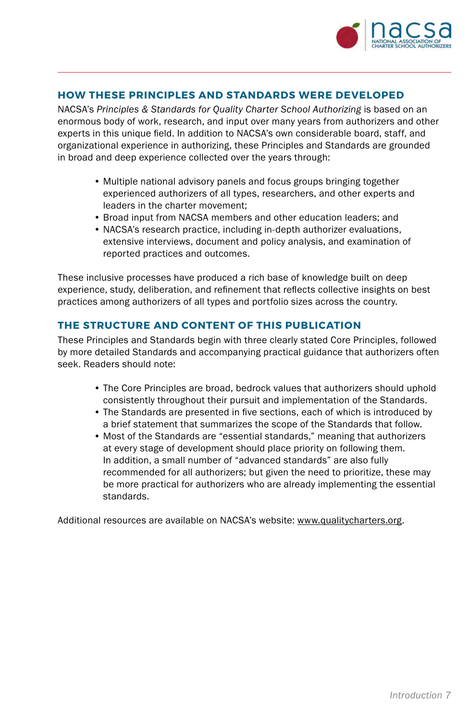

#### **HOW THESE PRINCIPLES AND STANDARDS WERE DEVELOPED**

NACSA's *Principles & Standards for Quality Charter School Authorizing* is based on an enormous body of work, research, and input over many years from authorizers and other experts in this unique field. In addition to NACSA's own considerable board, staff, and organizational experience in authorizing, these Principles and Standards are grounded in broad and deep experience collected over the years through:

- Multiple national advisory panels and focus groups bringing together experienced authorizers of all types, researchers, and other experts and leaders in the charter movement;
- Broad input from NACSA members and other education leaders; and
- NACSA's research practice, including in-depth authorizer evaluations, extensive interviews, document and policy analysis, and examination of reported practices and outcomes.

These inclusive processes have produced a rich base of knowledge built on deep experience, study, deliberation, and refinement that reflects collective insights on best practices among authorizers of all types and portfolio sizes across the country.

#### **THE STRUCTURE AND CONTENT OF THIS PUBLICATION**

These Principles and Standards begin with three clearly stated Core Principles, followed by more detailed Standards and accompanying practical guidance that authorizers often seek. Readers should note:

- The Core Principles are broad, bedrock values that authorizers should uphold consistently throughout their pursuit and implementation of the Standards.
- The Standards are presented in five sections, each of which is introduced by a brief statement that summarizes the scope of the Standards that follow.
- Most of the Standards are "essential standards," meaning that authorizers at every stage of development should place priority on following them. In addition, a small number of "advanced standards" are also fully recommended for all authorizers; but given the need to prioritize, these may be more practical for authorizers who are already implementing the essential standards.

Additional resources are available on NACSA's website: www.qualitycharters.org.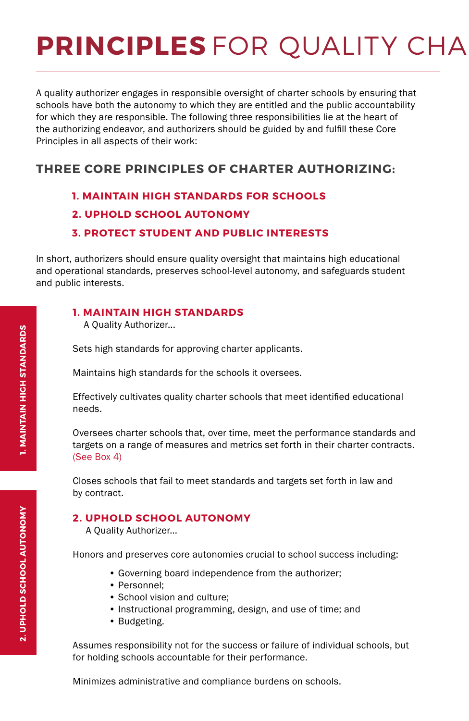# **PRINCIPLES** FOR QUALITY CHA

A quality authorizer engages in responsible oversight of charter schools by ensuring that schools have both the autonomy to which they are entitled and the public accountability for which they are responsible. The following three responsibilities lie at the heart of the authorizing endeavor, and authorizers should be guided by and fulfill these Core Principles in all aspects of their work:

#### **THREE CORE PRINCIPLES OF CHARTER AUTHORIZING:**

#### **1. MAINTAIN HIGH STANDARDS FOR SCHOOLS**

#### **2. UPHOLD SCHOOL AUTONOMY**

#### **3. PROTECT STUDENT AND PUBLIC INTERESTS**

In short, authorizers should ensure quality oversight that maintains high educational and operational standards, preserves school-level autonomy, and safeguards student and public interests.

#### **1. MAINTAIN HIGH STANDARDS**

A Quality Authorizer...

Sets high standards for approving charter applicants.

Maintains high standards for the schools it oversees.

Effectively cultivates quality charter schools that meet identified educational needs.

Oversees charter schools that, over time, meet the performance standards and targets on a range of measures and metrics set forth in their charter contracts. (See Box 4)

Closes schools that fail to meet standards and targets set forth in law and by contract.

#### **2. UPHOLD SCHOOL AUTONOMY**

A Quality Authorizer...

Honors and preserves core autonomies crucial to school success including:

- Governing board independence from the authorizer;
- Personnel;
- School vision and culture;
- Instructional programming, design, and use of time; and
- Budgeting.

Assumes responsibility not for the success or failure of individual schools, but for holding schools accountable for their performance.

Minimizes administrative and compliance burdens on schools.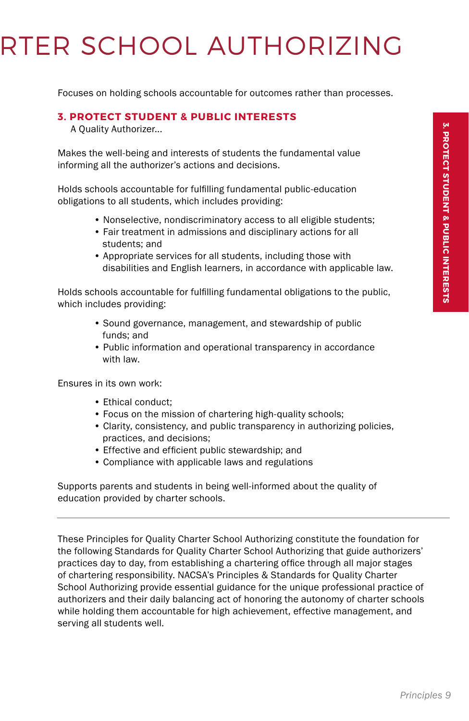# **RTER SCHOOL AUTHORIZING**

Focuses on holding schools accountable for outcomes rather than processes.

#### **3. PROTECT STUDENT & PUBLIC INTERESTS**

A Quality Authorizer...

Makes the well-being and interests of students the fundamental value informing all the authorizer's actions and decisions.

Holds schools accountable for fulfilling fundamental public-education obligations to all students, which includes providing:

- Nonselective, nondiscriminatory access to all eligible students;
- Fair treatment in admissions and disciplinary actions for all students; and
- Appropriate services for all students, including those with disabilities and English learners, in accordance with applicable law.

Holds schools accountable for fulfilling fundamental obligations to the public, which includes providing:

- Sound governance, management, and stewardship of public funds; and
- Public information and operational transparency in accordance with law.

Ensures in its own work:

- Ethical conduct;
- Focus on the mission of chartering high-quality schools;
- Clarity, consistency, and public transparency in authorizing policies, practices, and decisions;
- Effective and efficient public stewardship; and
- Compliance with applicable laws and regulations

Supports parents and students in being well-informed about the quality of education provided by charter schools.

These Principles for Quality Charter School Authorizing constitute the foundation for the following Standards for Quality Charter School Authorizing that guide authorizers' practices day to day, from establishing a chartering office through all major stages of chartering responsibility. NACSA's Principles & Standards for Quality Charter School Authorizing provide essential guidance for the unique professional practice of authorizers and their daily balancing act of honoring the autonomy of charter schools while holding them accountable for high achievement, effective management, and serving all students well.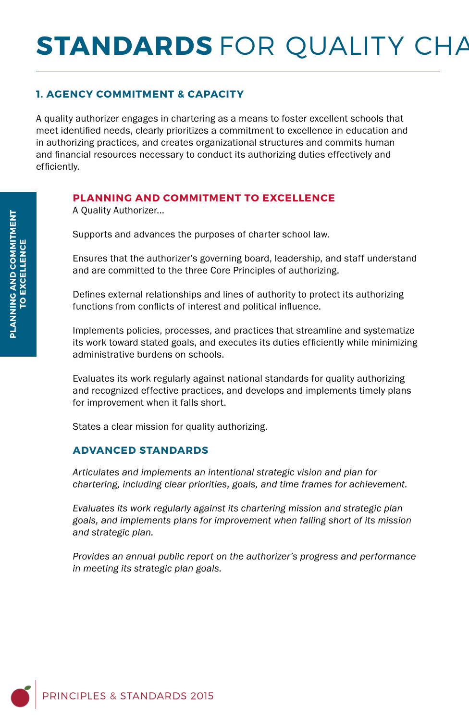# **STANDARDS** FOR QUALITY CHA

#### **1. AGENCY COMMITMENT & CAPACITY**

A quality authorizer engages in chartering as a means to foster excellent schools that meet identified needs, clearly prioritizes a commitment to excellence in education and in authorizing practices, and creates organizational structures and commits human and financial resources necessary to conduct its authorizing duties effectively and efficiently.

#### **PLANNING AND COMMITMENT TO EXCELLENCE**

A Quality Authorizer...

Supports and advances the purposes of charter school law.

Ensures that the authorizer's governing board, leadership, and staff understand and are committed to the three Core Principles of authorizing.

Defines external relationships and lines of authority to protect its authorizing functions from conflicts of interest and political influence.

Implements policies, processes, and practices that streamline and systematize its work toward stated goals, and executes its duties efficiently while minimizing administrative burdens on schools.

Evaluates its work regularly against national standards for quality authorizing and recognized effective practices, and develops and implements timely plans for improvement when it falls short.

States a clear mission for quality authorizing.

#### **ADVANCED STANDARDS**

*Articulates and implements an intentional strategic vision and plan for chartering, including clear priorities, goals, and time frames for achievement.*

*Evaluates its work regularly against its chartering mission and strategic plan goals, and implements plans for improvement when falling short of its mission and strategic plan.*

*Provides an annual public report on the authorizer's progress and performance in meeting its strategic plan goals.*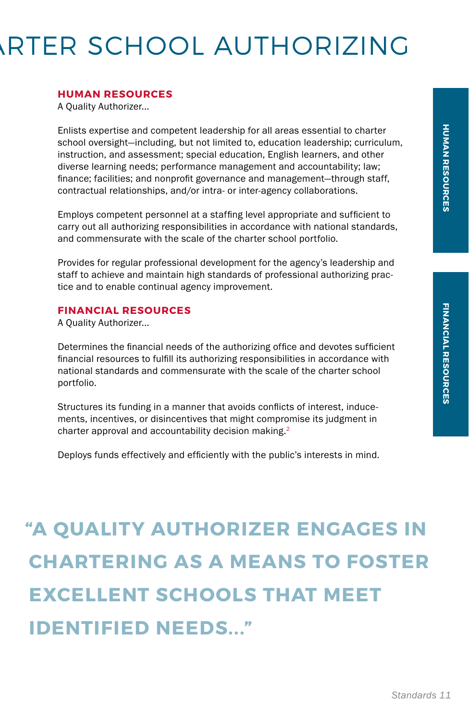# **RTER SCHOOL AUTHORIZING**

#### **HUMAN RESOURCES**

A Quality Authorizer...

Enlists expertise and competent leadership for all areas essential to charter school oversight—including, but not limited to, education leadership; curriculum, instruction, and assessment; special education, English learners, and other diverse learning needs; performance management and accountability; law; finance; facilities; and nonprofit governance and management—through staff, contractual relationships, and/or intra- or inter-agency collaborations.

Employs competent personnel at a staffing level appropriate and sufficient to carry out all authorizing responsibilities in accordance with national standards, and commensurate with the scale of the charter school portfolio.

Provides for regular professional development for the agency's leadership and staff to achieve and maintain high standards of professional authorizing practice and to enable continual agency improvement.

#### **FINANCIAL RESOURCES**

A Quality Authorizer...

Determines the financial needs of the authorizing office and devotes sufficient financial resources to fulfill its authorizing responsibilities in accordance with national standards and commensurate with the scale of the charter school portfolio.

Structures its funding in a manner that avoids conflicts of interest, inducements, incentives, or disincentives that might compromise its judgment in charter approval and accountability decision making.<sup>2</sup>

Deploys funds effectively and efficiently with the public's interests in mind.

## **"A QUALITY AUTHORIZER ENGAGES IN CHARTERING AS A MEANS TO FOSTER EXCELLENT SCHOOLS THAT MEET IDENTIFIED NEEDS..."**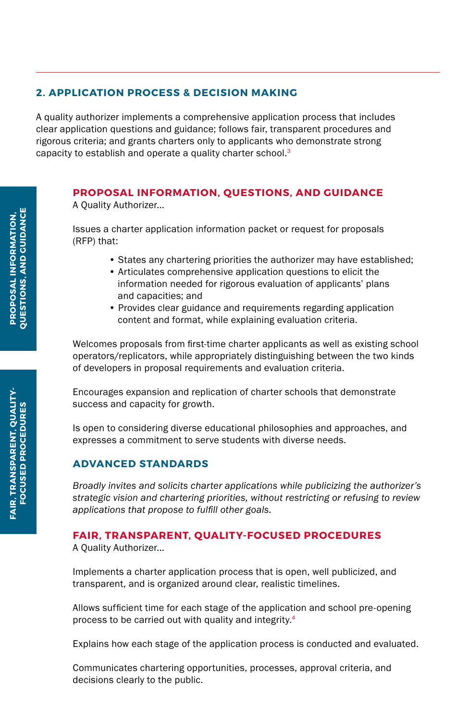#### **2. APPLICATION PROCESS & DECISION MAKING**

A quality authorizer implements a comprehensive application process that includes clear application questions and guidance; follows fair, transparent procedures and rigorous criteria; and grants charters only to applicants who demonstrate strong capacity to establish and operate a quality charter school.<sup>3</sup>

#### **PROPOSAL INFORMATION, QUESTIONS, AND GUIDANCE**

A Quality Authorizer...

Issues a charter application information packet or request for proposals (RFP) that:

- States any chartering priorities the authorizer may have established;
- Articulates comprehensive application questions to elicit the information needed for rigorous evaluation of applicants' plans and capacities; and
- Provides clear guidance and requirements regarding application content and format, while explaining evaluation criteria.

Welcomes proposals from first-time charter applicants as well as existing school operators/replicators, while appropriately distinguishing between the two kinds of developers in proposal requirements and evaluation criteria.

Encourages expansion and replication of charter schools that demonstrate success and capacity for growth.

Is open to considering diverse educational philosophies and approaches, and expresses a commitment to serve students with diverse needs.

#### **ADVANCED STANDARDS**

*Broadly invites and solicits charter applications while publicizing the authorizer's strategic vision and chartering priorities, without restricting or refusing to review applications that propose to fulfill other goals.* 

#### **FAIR, TRANSPARENT, QUALITY-FOCUSED PROCEDURES**

A Quality Authorizer...

Implements a charter application process that is open, well publicized, and transparent, and is organized around clear, realistic timelines.

Allows sufficient time for each stage of the application and school pre-opening process to be carried out with quality and integrity.4

Explains how each stage of the application process is conducted and evaluated.

Communicates chartering opportunities, processes, approval criteria, and decisions clearly to the public.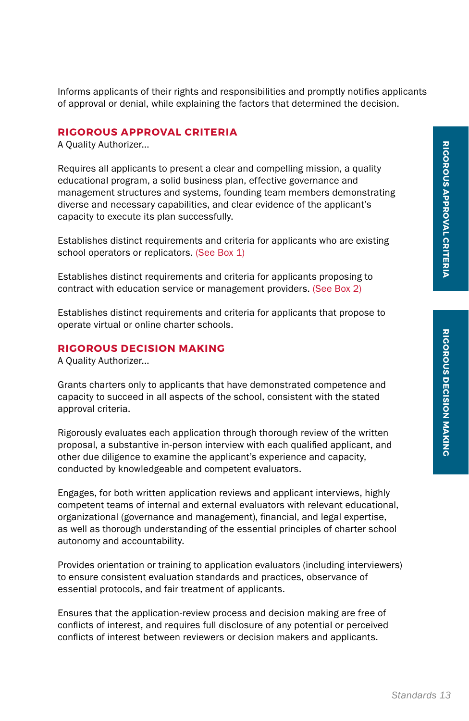Informs applicants of their rights and responsibilities and promptly notifies applicants of approval or denial, while explaining the factors that determined the decision.

#### **RIGOROUS APPROVAL CRITERIA**

A Quality Authorizer...

Requires all applicants to present a clear and compelling mission, a quality educational program, a solid business plan, effective governance and management structures and systems, founding team members demonstrating diverse and necessary capabilities, and clear evidence of the applicant's capacity to execute its plan successfully.

Establishes distinct requirements and criteria for applicants who are existing school operators or replicators. (See Box 1)

Establishes distinct requirements and criteria for applicants proposing to contract with education service or management providers. (See Box 2)

Establishes distinct requirements and criteria for applicants that propose to operate virtual or online charter schools.

#### **RIGOROUS DECISION MAKING**

A Quality Authorizer...

Grants charters only to applicants that have demonstrated competence and capacity to succeed in all aspects of the school, consistent with the stated approval criteria.

Rigorously evaluates each application through thorough review of the written proposal, a substantive in-person interview with each qualified applicant, and other due diligence to examine the applicant's experience and capacity, conducted by knowledgeable and competent evaluators.

Engages, for both written application reviews and applicant interviews, highly competent teams of internal and external evaluators with relevant educational, organizational (governance and management), financial, and legal expertise, as well as thorough understanding of the essential principles of charter school autonomy and accountability.

Provides orientation or training to application evaluators (including interviewers) to ensure consistent evaluation standards and practices, observance of essential protocols, and fair treatment of applicants.

Ensures that the application-review process and decision making are free of conflicts of interest, and requires full disclosure of any potential or perceived conflicts of interest between reviewers or decision makers and applicants.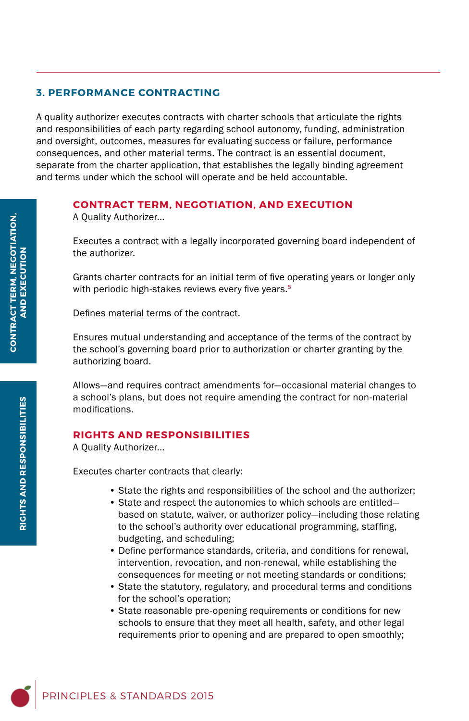#### **3. PERFORMANCE CONTRACTING**

A quality authorizer executes contracts with charter schools that articulate the rights and responsibilities of each party regarding school autonomy, funding, administration and oversight, outcomes, measures for evaluating success or failure, performance consequences, and other material terms. The contract is an essential document, separate from the charter application, that establishes the legally binding agreement and terms under which the school will operate and be held accountable.

#### **CONTRACT TERM, NEGOTIATION, AND EXECUTION**

A Quality Authorizer...

Executes a contract with a legally incorporated governing board independent of the authorizer.

Grants charter contracts for an initial term of five operating years or longer only with periodic high-stakes reviews every five years.<sup>5</sup>

Defines material terms of the contract.

Ensures mutual understanding and acceptance of the terms of the contract by the school's governing board prior to authorization or charter granting by the authorizing board.

Allows—and requires contract amendments for—occasional material changes to a school's plans, but does not require amending the contract for non-material modifications.

#### **RIGHTS AND RESPONSIBILITIES**

A Quality Authorizer...

Executes charter contracts that clearly:

- State the rights and responsibilities of the school and the authorizer;
- State and respect the autonomies to which schools are entitled based on statute, waiver, or authorizer policy—including those relating to the school's authority over educational programming, staffing, budgeting, and scheduling;
- Define performance standards, criteria, and conditions for renewal, intervention, revocation, and non-renewal, while establishing the consequences for meeting or not meeting standards or conditions;
- State the statutory, regulatory, and procedural terms and conditions for the school's operation;
- State reasonable pre-opening requirements or conditions for new schools to ensure that they meet all health, safety, and other legal requirements prior to opening and are prepared to open smoothly;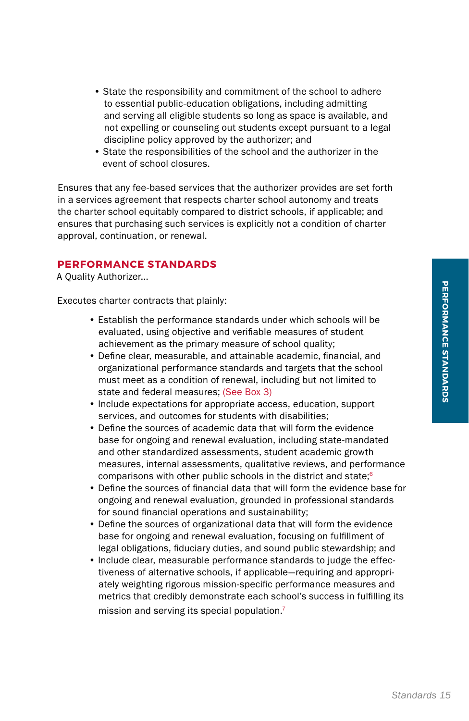- State the responsibility and commitment of the school to adhere to essential public-education obligations, including admitting and serving all eligible students so long as space is available, and not expelling or counseling out students except pursuant to a legal discipline policy approved by the authorizer; and
- State the responsibilities of the school and the authorizer in the event of school closures.

Ensures that any fee-based services that the authorizer provides are set forth in a services agreement that respects charter school autonomy and treats the charter school equitably compared to district schools, if applicable; and ensures that purchasing such services is explicitly not a condition of charter approval, continuation, or renewal.

#### **PERFORMANCE STANDARDS**

A Quality Authorizer...

Executes charter contracts that plainly:

- Establish the performance standards under which schools will be evaluated, using objective and verifiable measures of student achievement as the primary measure of school quality;
- Define clear, measurable, and attainable academic, financial, and organizational performance standards and targets that the school must meet as a condition of renewal, including but not limited to state and federal measures; (See Box 3)
- Include expectations for appropriate access, education, support services, and outcomes for students with disabilities;
- Define the sources of academic data that will form the evidence base for ongoing and renewal evaluation, including state-mandated and other standardized assessments, student academic growth measures, internal assessments, qualitative reviews, and performance comparisons with other public schools in the district and state;6
- Define the sources of financial data that will form the evidence base for ongoing and renewal evaluation, grounded in professional standards for sound financial operations and sustainability;
- Define the sources of organizational data that will form the evidence base for ongoing and renewal evaluation, focusing on fulfillment of legal obligations, fiduciary duties, and sound public stewardship; and
- Include clear, measurable performance standards to judge the effectiveness of alternative schools, if applicable—requiring and appropriately weighting rigorous mission-specific performance measures and metrics that credibly demonstrate each school's success in fulfilling its mission and serving its special population.<sup>7</sup>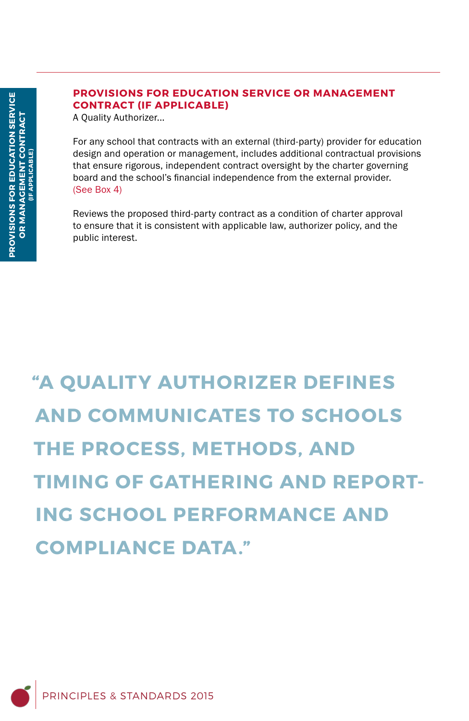#### **PROVISIONS FOR EDUCATION SERVICE OR MANAGEMENT CONTRACT (IF APPLICABLE)**

A Quality Authorizer...

For any school that contracts with an external (third-party) provider for education design and operation or management, includes additional contractual provisions that ensure rigorous, independent contract oversight by the charter governing board and the school's financial independence from the external provider. (See Box 4)

Reviews the proposed third-party contract as a condition of charter approval to ensure that it is consistent with applicable law, authorizer policy, and the public interest.

**"A QUALITY AUTHORIZER DEFINES AND COMMUNICATES TO SCHOOLS THE PROCESS, METHODS, AND TIMING OF GATHERING AND REPORT-ING SCHOOL PERFORMANCE AND COMPLIANCE DATA."**

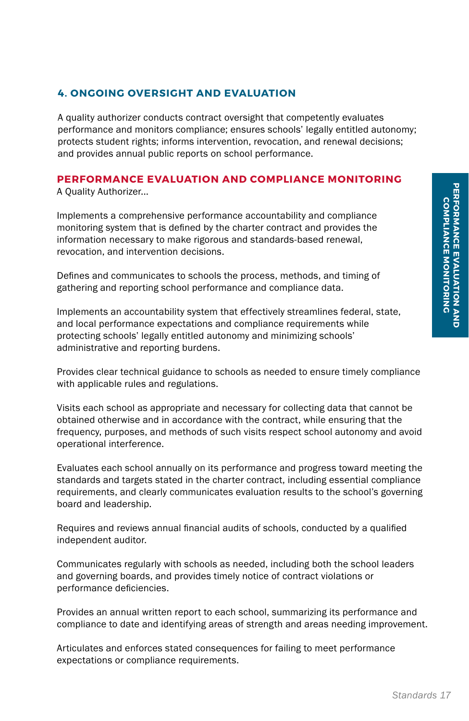#### **4. ONGOING OVERSIGHT AND EVALUATION**

A quality authorizer conducts contract oversight that competently evaluates performance and monitors compliance; ensures schools' legally entitled autonomy; protects student rights; informs intervention, revocation, and renewal decisions; and provides annual public reports on school performance.

#### **PERFORMANCE EVALUATION AND COMPLIANCE MONITORING** A Quality Authorizer...

Implements a comprehensive performance accountability and compliance monitoring system that is defined by the charter contract and provides the information necessary to make rigorous and standards-based renewal, revocation, and intervention decisions.

Defines and communicates to schools the process, methods, and timing of gathering and reporting school performance and compliance data.

Implements an accountability system that effectively streamlines federal, state, and local performance expectations and compliance requirements while protecting schools' legally entitled autonomy and minimizing schools' administrative and reporting burdens.

Provides clear technical guidance to schools as needed to ensure timely compliance with applicable rules and regulations.

Visits each school as appropriate and necessary for collecting data that cannot be obtained otherwise and in accordance with the contract, while ensuring that the frequency, purposes, and methods of such visits respect school autonomy and avoid operational interference.

Evaluates each school annually on its performance and progress toward meeting the standards and targets stated in the charter contract, including essential compliance requirements, and clearly communicates evaluation results to the school's governing board and leadership.

Requires and reviews annual financial audits of schools, conducted by a qualified independent auditor.

Communicates regularly with schools as needed, including both the school leaders and governing boards, and provides timely notice of contract violations or performance deficiencies.

Provides an annual written report to each school, summarizing its performance and compliance to date and identifying areas of strength and areas needing improvement.

Articulates and enforces stated consequences for failing to meet performance expectations or compliance requirements.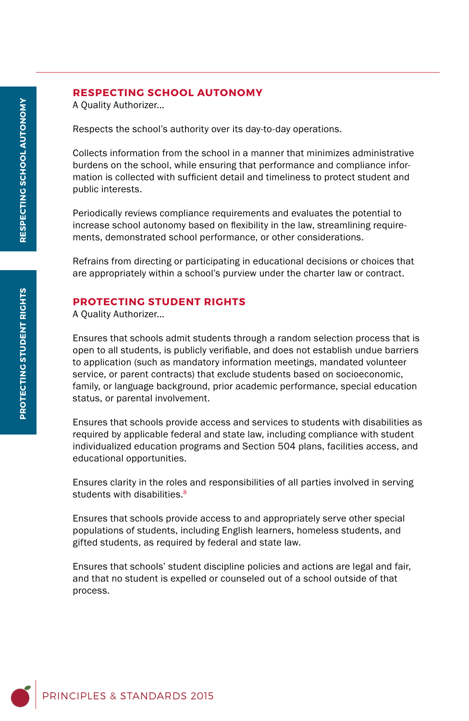#### **RESPECTING SCHOOL AUTONOMY**

A Quality Authorizer...

Respects the school's authority over its day-to-day operations.

Collects information from the school in a manner that minimizes administrative burdens on the school, while ensuring that performance and compliance information is collected with sufficient detail and timeliness to protect student and public interests.

Periodically reviews compliance requirements and evaluates the potential to increase school autonomy based on flexibility in the law, streamlining requirements, demonstrated school performance, or other considerations.

Refrains from directing or participating in educational decisions or choices that are appropriately within a school's purview under the charter law or contract.

#### **PROTECTING STUDENT RIGHTS**

A Quality Authorizer...

Ensures that schools admit students through a random selection process that is open to all students, is publicly verifiable, and does not establish undue barriers to application (such as mandatory information meetings, mandated volunteer service, or parent contracts) that exclude students based on socioeconomic, family, or language background, prior academic performance, special education status, or parental involvement.

Ensures that schools provide access and services to students with disabilities as required by applicable federal and state law, including compliance with student individualized education programs and Section 504 plans, facilities access, and educational opportunities.

Ensures clarity in the roles and responsibilities of all parties involved in serving students with disabilities.<sup>8</sup>

Ensures that schools provide access to and appropriately serve other special populations of students, including English learners, homeless students, and gifted students, as required by federal and state law.

Ensures that schools' student discipline policies and actions are legal and fair, and that no student is expelled or counseled out of a school outside of that process.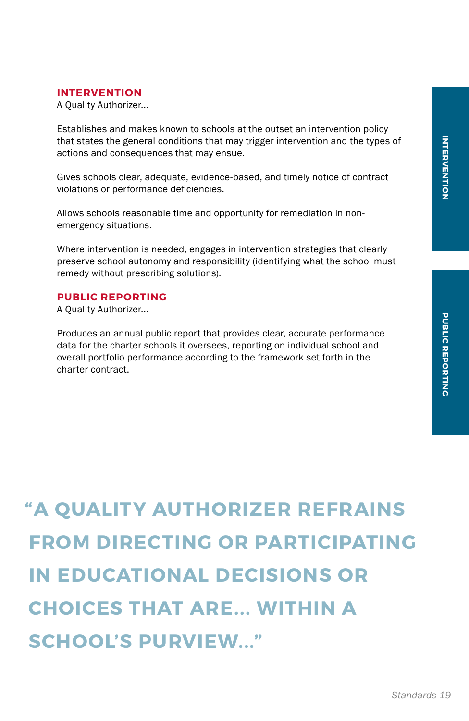#### **INTERVENTION**

A Quality Authorizer...

Establishes and makes known to schools at the outset an intervention policy that states the general conditions that may trigger intervention and the types of actions and consequences that may ensue.

Gives schools clear, adequate, evidence-based, and timely notice of contract violations or performance deficiencies.

Allows schools reasonable time and opportunity for remediation in nonemergency situations.

Where intervention is needed, engages in intervention strategies that clearly preserve school autonomy and responsibility (identifying what the school must remedy without prescribing solutions).

#### **PUBLIC REPORTING**

A Quality Authorizer...

Produces an annual public report that provides clear, accurate performance data for the charter schools it oversees, reporting on individual school and overall portfolio performance according to the framework set forth in the charter contract.

**Standards 19**<br> **Standards 19**<br>
Standards 19 **"A QUALITY AUTHORIZER REFRAINS FROM DIRECTING OR PARTICIPATING IN EDUCATIONAL DECISIONS OR CHOICES THAT ARE... WITHIN A SCHOOL'S PURVIEW..."**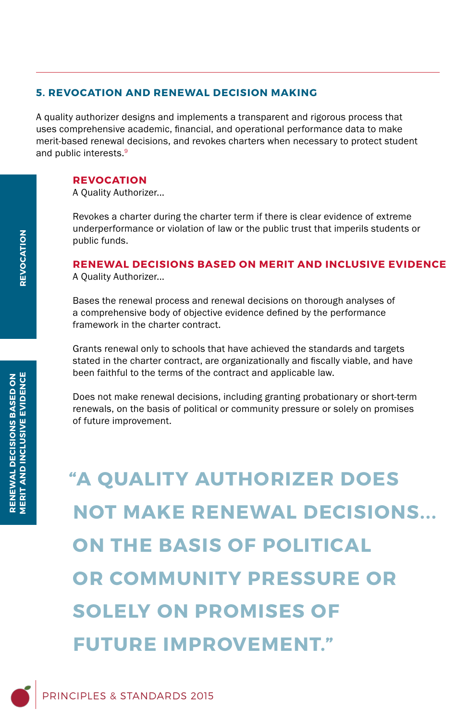#### **5. REVOCATION AND RENEWAL DECISION MAKING**

A quality authorizer designs and implements a transparent and rigorous process that uses comprehensive academic, financial, and operational performance data to make merit-based renewal decisions, and revokes charters when necessary to protect student and public interests.<sup>9</sup>

#### **REVOCATION**

A Quality Authorizer...

Revokes a charter during the charter term if there is clear evidence of extreme underperformance or violation of law or the public trust that imperils students or public funds.

#### **RENEWAL DECISIONS BASED ON MERIT AND INCLUSIVE EVIDENCE**

A Quality Authorizer...

Bases the renewal process and renewal decisions on thorough analyses of a comprehensive body of objective evidence defined by the performance framework in the charter contract.

Grants renewal only to schools that have achieved the standards and targets stated in the charter contract, are organizationally and fiscally viable, and have been faithful to the terms of the contract and applicable law.

Does not make renewal decisions, including granting probationary or short-term renewals, on the basis of political or community pressure or solely on promises of future improvement.

**"A QUALITY AUTHORIZER DOES NOT MAKE RENEWAL DECISIONS... ON THE BASIS OF POLITICAL OR COMMUNITY PRESSURE OR SOLELY ON PROMISES OF FUTURE IMPROVEMENT."**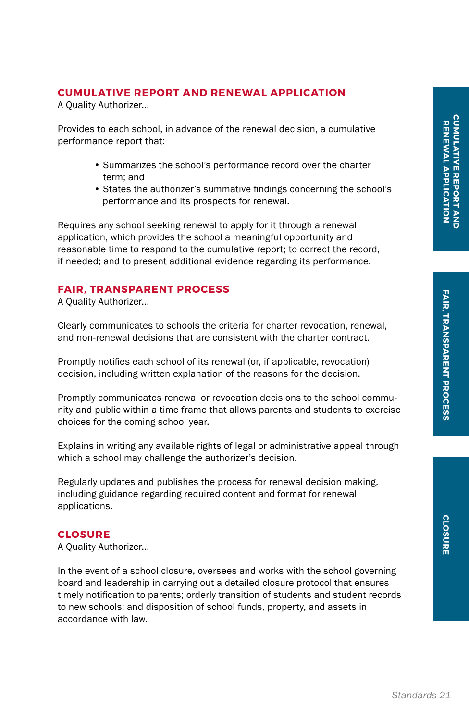**CLOSURE**

**CLOSURE** 

A Quality Authorizer...

Provides to each school, in advance of the renewal decision, a cumulative performance report that:

- Summarizes the school's performance record over the charter term; and
- States the authorizer's summative findings concerning the school's performance and its prospects for renewal.

Requires any school seeking renewal to apply for it through a renewal application, which provides the school a meaningful opportunity and reasonable time to respond to the cumulative report; to correct the record, if needed; and to present additional evidence regarding its performance.

#### **FAIR, TRANSPARENT PROCESS**

A Quality Authorizer...

Clearly communicates to schools the criteria for charter revocation, renewal, and non-renewal decisions that are consistent with the charter contract.

Promptly notifies each school of its renewal (or, if applicable, revocation) decision, including written explanation of the reasons for the decision.

Promptly communicates renewal or revocation decisions to the school community and public within a time frame that allows parents and students to exercise choices for the coming school year.

Explains in writing any available rights of legal or administrative appeal through which a school may challenge the authorizer's decision.

Regularly updates and publishes the process for renewal decision making, including guidance regarding required content and format for renewal applications.

#### **CLOSURE**

A Quality Authorizer...

In the event of a school closure, oversees and works with the school governing board and leadership in carrying out a detailed closure protocol that ensures timely notification to parents; orderly transition of students and student records to new schools; and disposition of school funds, property, and assets in accordance with law.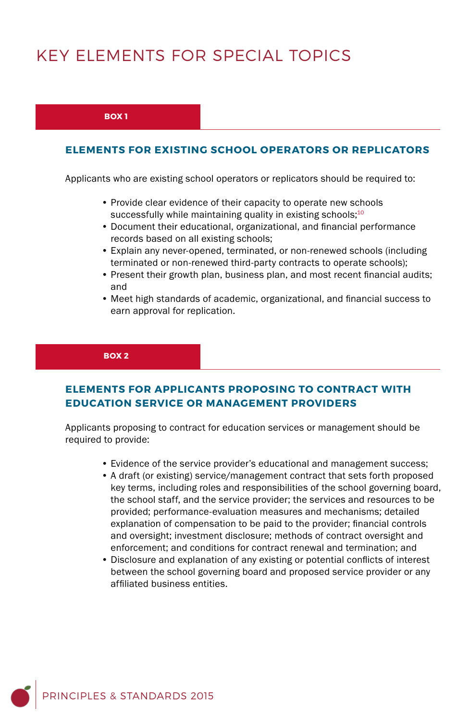## KEY ELEMENTS FOR SPECIAL TOPICS

#### **BOX 1**

#### **ELEMENTS FOR EXISTING SCHOOL OPERATORS OR REPLICATORS**

Applicants who are existing school operators or replicators should be required to:

- Provide clear evidence of their capacity to operate new schools successfully while maintaining quality in existing schools; $10$
- Document their educational, organizational, and financial performance records based on all existing schools;
- Explain any never-opened, terminated, or non-renewed schools (including terminated or non-renewed third-party contracts to operate schools);
- Present their growth plan, business plan, and most recent financial audits; and
- Meet high standards of academic, organizational, and financial success to earn approval for replication.

#### **BOX 2**

#### **ELEMENTS FOR APPLICANTS PROPOSING TO CONTRACT WITH EDUCATION SERVICE OR MANAGEMENT PROVIDERS**

Applicants proposing to contract for education services or management should be required to provide:

- Evidence of the service provider's educational and management success;
- A draft (or existing) service/management contract that sets forth proposed key terms, including roles and responsibilities of the school governing board, the school staff, and the service provider; the services and resources to be provided; performance-evaluation measures and mechanisms; detailed explanation of compensation to be paid to the provider; financial controls and oversight; investment disclosure; methods of contract oversight and enforcement; and conditions for contract renewal and termination; and
- Disclosure and explanation of any existing or potential conflicts of interest between the school governing board and proposed service provider or any affiliated business entities.

PRINCIPLES & STANDARDS 2015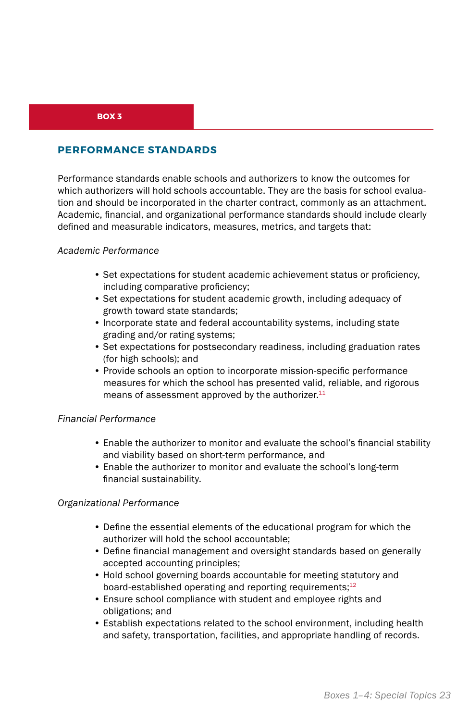#### **BOX 3**

#### **PERFORMANCE STANDARDS**

Performance standards enable schools and authorizers to know the outcomes for which authorizers will hold schools accountable. They are the basis for school evaluation and should be incorporated in the charter contract, commonly as an attachment. Academic, financial, and organizational performance standards should include clearly defined and measurable indicators, measures, metrics, and targets that:

#### *Academic Performance*

- Set expectations for student academic achievement status or proficiency, including comparative proficiency;
- Set expectations for student academic growth, including adequacy of growth toward state standards;
- Incorporate state and federal accountability systems, including state grading and/or rating systems;
- Set expectations for postsecondary readiness, including graduation rates (for high schools); and
- Provide schools an option to incorporate mission-specific performance measures for which the school has presented valid, reliable, and rigorous means of assessment approved by the authorizer.<sup>11</sup>

#### *Financial Performance*

- Enable the authorizer to monitor and evaluate the school's financial stability and viability based on short-term performance, and
- Enable the authorizer to monitor and evaluate the school's long-term financial sustainability.

#### *Organizational Performance*

- Define the essential elements of the educational program for which the authorizer will hold the school accountable;
- Define financial management and oversight standards based on generally accepted accounting principles;
- Hold school governing boards accountable for meeting statutory and board-established operating and reporting requirements;<sup>12</sup>
- Ensure school compliance with student and employee rights and obligations; and
- Establish expectations related to the school environment, including health and safety, transportation, facilities, and appropriate handling of records.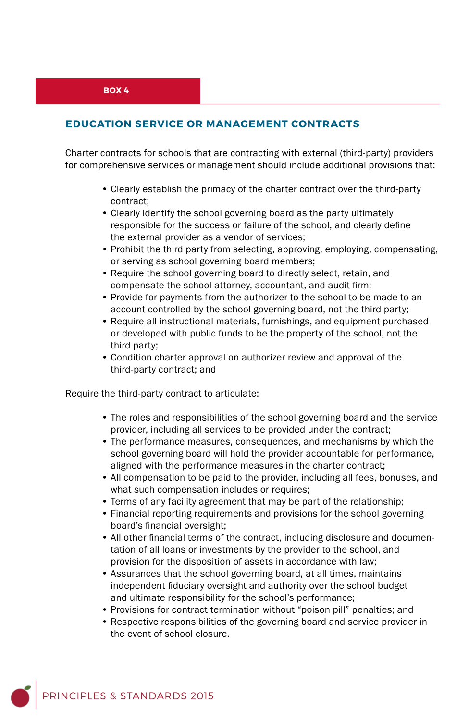#### **EDUCATION SERVICE OR MANAGEMENT CONTRACTS**

Charter contracts for schools that are contracting with external (third-party) providers for comprehensive services or management should include additional provisions that:

- Clearly establish the primacy of the charter contract over the third-party contract;
- Clearly identify the school governing board as the party ultimately responsible for the success or failure of the school, and clearly define the external provider as a vendor of services;
- Prohibit the third party from selecting, approving, employing, compensating, or serving as school governing board members;
- Require the school governing board to directly select, retain, and compensate the school attorney, accountant, and audit firm;
- Provide for payments from the authorizer to the school to be made to an account controlled by the school governing board, not the third party;
- Require all instructional materials, furnishings, and equipment purchased or developed with public funds to be the property of the school, not the third party;
- Condition charter approval on authorizer review and approval of the third-party contract; and

Require the third-party contract to articulate:

- The roles and responsibilities of the school governing board and the service provider, including all services to be provided under the contract;
- The performance measures, consequences, and mechanisms by which the school governing board will hold the provider accountable for performance, aligned with the performance measures in the charter contract;
- All compensation to be paid to the provider, including all fees, bonuses, and what such compensation includes or requires;
- Terms of any facility agreement that may be part of the relationship;
- Financial reporting requirements and provisions for the school governing board's financial oversight;
- All other financial terms of the contract, including disclosure and documentation of all loans or investments by the provider to the school, and provision for the disposition of assets in accordance with law;
- Assurances that the school governing board, at all times, maintains independent fiduciary oversight and authority over the school budget and ultimate responsibility for the school's performance;
- Provisions for contract termination without "poison pill" penalties; and
- Respective responsibilities of the governing board and service provider in the event of school closure.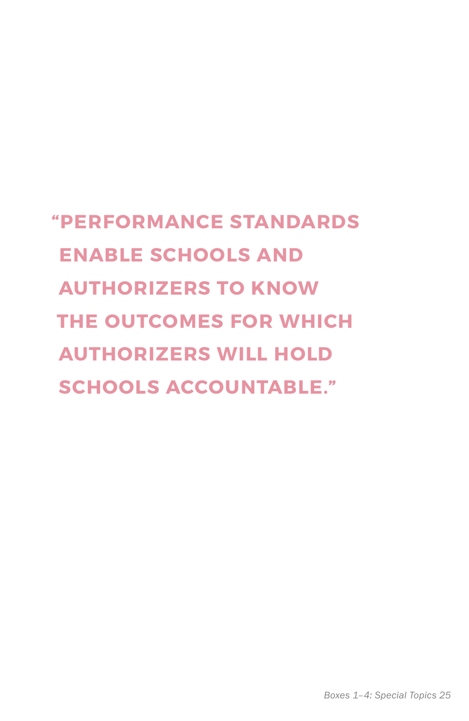## **"PERFORMANCE STANDARDS ENABLE SCHOOLS AND AUTHORIZERS TO KNOW THE OUTCOMES FOR WHICH AUTHORIZERS WILL HOLD SCHOOLS ACCOUNTABLE."**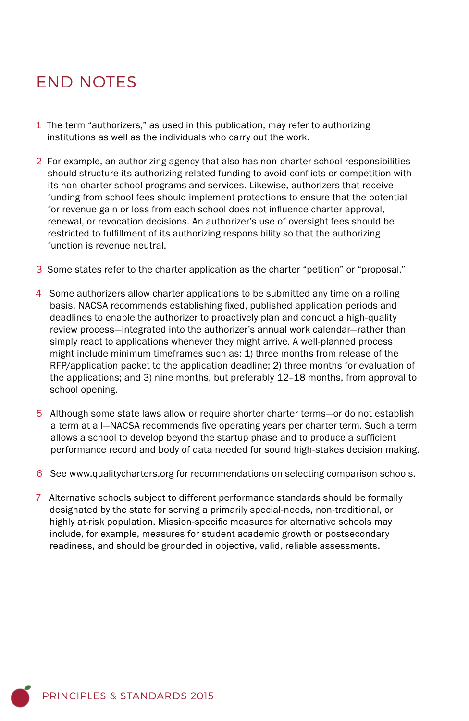## END NOTES

- 1 The term "authorizers," as used in this publication, may refer to authorizing institutions as well as the individuals who carry out the work.
- 2 For example, an authorizing agency that also has non-charter school responsibilities should structure its authorizing-related funding to avoid conflicts or competition with its non-charter school programs and services. Likewise, authorizers that receive funding from school fees should implement protections to ensure that the potential for revenue gain or loss from each school does not influence charter approval, renewal, or revocation decisions. An authorizer's use of oversight fees should be restricted to fulfillment of its authorizing responsibility so that the authorizing function is revenue neutral.
- 3 Some states refer to the charter application as the charter "petition" or "proposal."
- 4 Some authorizers allow charter applications to be submitted any time on a rolling basis. NACSA recommends establishing fixed, published application periods and deadlines to enable the authorizer to proactively plan and conduct a high-quality review process—integrated into the authorizer's annual work calendar—rather than simply react to applications whenever they might arrive. A well-planned process might include minimum timeframes such as: 1) three months from release of the RFP/application packet to the application deadline; 2) three months for evaluation of the applications; and 3) nine months, but preferably 12–18 months, from approval to school opening.
- 5 Although some state laws allow or require shorter charter terms—or do not establish a term at all—NACSA recommends five operating years per charter term. Such a term allows a school to develop beyond the startup phase and to produce a sufficient performance record and body of data needed for sound high-stakes decision making.
- 6 See www.qualitycharters.org for recommendations on selecting comparison schools.
- 7 Alternative schools subject to different performance standards should be formally designated by the state for serving a primarily special-needs, non-traditional, or highly at-risk population. Mission-specific measures for alternative schools may include, for example, measures for student academic growth or postsecondary readiness, and should be grounded in objective, valid, reliable assessments.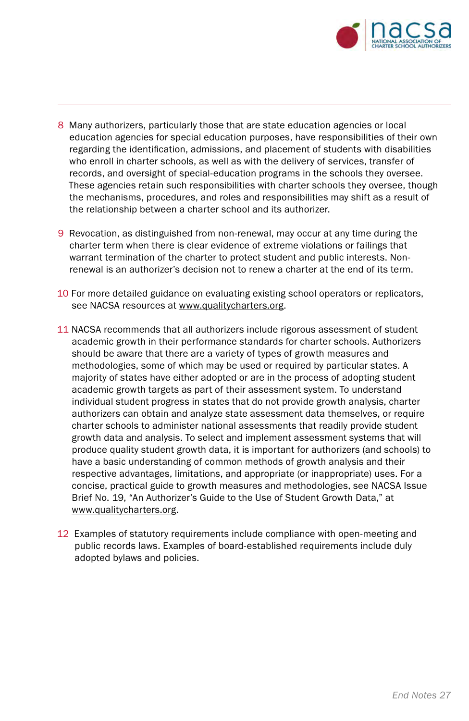

- 8 Many authorizers, particularly those that are state education agencies or local education agencies for special education purposes, have responsibilities of their own regarding the identification, admissions, and placement of students with disabilities who enroll in charter schools, as well as with the delivery of services, transfer of records, and oversight of special-education programs in the schools they oversee. These agencies retain such responsibilities with charter schools they oversee, though the mechanisms, procedures, and roles and responsibilities may shift as a result of the relationship between a charter school and its authorizer.
- 9 Revocation, as distinguished from non-renewal, may occur at any time during the charter term when there is clear evidence of extreme violations or failings that warrant termination of the charter to protect student and public interests. Nonrenewal is an authorizer's decision not to renew a charter at the end of its term.
- 10 For more detailed guidance on evaluating existing school operators or replicators, see NACSA resources at www.qualitycharters.org.
- 11 NACSA recommends that all authorizers include rigorous assessment of student academic growth in their performance standards for charter schools. Authorizers should be aware that there are a variety of types of growth measures and methodologies, some of which may be used or required by particular states. A majority of states have either adopted or are in the process of adopting student academic growth targets as part of their assessment system. To understand individual student progress in states that do not provide growth analysis, charter authorizers can obtain and analyze state assessment data themselves, or require charter schools to administer national assessments that readily provide student growth data and analysis. To select and implement assessment systems that will produce quality student growth data, it is important for authorizers (and schools) to have a basic understanding of common methods of growth analysis and their respective advantages, limitations, and appropriate (or inappropriate) uses. For a concise, practical guide to growth measures and methodologies, see NACSA Issue Brief No. 19, "An Authorizer's Guide to the Use of Student Growth Data," at www.qualitycharters.org.
- 12 Examples of statutory requirements include compliance with open-meeting and public records laws. Examples of board-established requirements include duly adopted bylaws and policies.